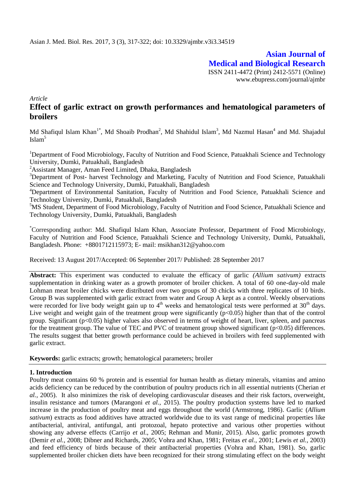**Asian Journal of Medical and Biological Research** ISSN 2411-4472 (Print) 2412-5571 (Online) www.ebupress.com/journal/ajmbr

*Article*

# **Effect of garlic extract on growth performances and hematological parameters of broilers**

Md Shafiqul Islam Khan<sup>1\*</sup>, Md Shoaib Prodhan<sup>2</sup>, Md Shahidul Islam<sup>3</sup>, Md Nazmul Hasan<sup>4</sup> and Md. Shajadul Islam<sup>5</sup>

<sup>1</sup>Department of Food Microbiology, Faculty of Nutrition and Food Science, Patuakhali Science and Technology University, Dumki, Patuakhali, Bangladesh

<sup>2</sup>Assistant Manager, Aman Feed Limited, Dhaka, Bangladesh

<sup>3</sup>Department of Post- harvest Technology and Marketing, Faculty of Nutrition and Food Science, Patuakhali Science and Technology University, Dumki, Patuakhali, Bangladesh

<sup>4</sup>Department of Environmental Sanitation, Faculty of Nutrition and Food Science, Patuakhali Science and Technology University, Dumki, Patuakhali, Bangladesh

<sup>5</sup>MS Student, Department of Food Microbiology, Faculty of Nutrition and Food Science, Patuakhali Science and Technology University, Dumki, Patuakhali, Bangladesh

\*Corresponding author: Md. Shafiqul Islam Khan, Associate Professor, Department of Food Microbiology, Faculty of Nutrition and Food Science, Patuakhali Science and Technology University, Dumki, Patuakhali, Bangladesh. Phone: +8801712115973; E- mail: [msikhan312@yahoo.com](mailto:msikhan312@yahoo.com)

Received: 13 August 2017/Accepted: 06 September 2017/ Published: 28 September 2017

**Abstract:** This experiment was conducted to evaluate the efficacy of garlic *(Allium sativum)* extracts supplementation in drinking water as a growth promoter of broiler chicken. A total of 60 one-day-old male Lohman meat broiler chicks were distributed over two groups of 30 chicks with three replicates of 10 birds. Group B was supplemented with garlic extract from water and Group A kept as a control. Weekly observations were recorded for live body weight gain up to  $4<sup>th</sup>$  weeks and hematological tests were performed at  $30<sup>th</sup>$  days. Live weight and weight gain of the treatment group were significantly  $(p<0.05)$  higher than that of the control group. Significant (p<0.05) higher values also observed in terms of weight of heart, liver, spleen, and pancreas for the treatment group. The value of TEC and PVC of treatment group showed significant ( $p<0.05$ ) differences. The results suggest that better growth performance could be achieved in broilers with feed supplemented with garlic extract.

**Keywords:** garlic extracts; growth; hematological parameters; broiler

# **1. Introduction**

Poultry meat contains 60 % protein and is essential for human health as dietary minerals, vitamins and amino acids deficiency can be reduced by the contribution of poultry products rich in all essential nutrients (Cherian *et al.,* 2005). It also minimizes the risk of developing cardiovascular diseases and their risk factors, overweight, insulin resistance and tumors (Marangoni *et al.,* 2015). The poultry production systems have led to marked increase in the production of poultry meat and eggs throughout the world (Armstrong, 1986). Garlic (*Allium sativum*) extracts as food additives have attracted worldwide due to its vast range of medicinal properties like antibacterial, antiviral, antifungal, anti protozoal, hepato protective and various other properties without showing any adverse effects (Carrijo *et al*., 2005; Rehman and Munir, 2015). Also, garlic promotes growth (Demir *et al.,* 2008; Dibner and Richards, 2005; Vohra and Khan, 1981; Freitas *et al.,* 2001; Lewis *et al.,* 2003) and feed efficiency of birds because of their antibacterial properties (Vohra and Khan, 1981). So, garlic supplemented broiler chicken diets have been recognized for their strong stimulating effect on the body weight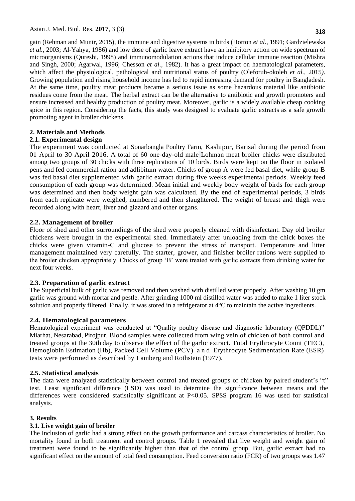gain (Rehman and Munir, 2015), the immune and digestive systems in birds (Horton *et al.,* 1991; Gardzielewska *et al.,* 2003; Al-Yahya, 1986) and low dose of garlic leave extract have an inhibitory action on wide spectrum of microorganisms (Qureshi, 1998) and immunomodulation actions that induce cellular immune reaction (Mishra and Singh, 2000; Agarwal, 1996; Chesson *et al*., 1982). It has a great impact on haematological parameters, which affect the physiological, pathological and nutritional status of poultry (Oleforuh-okoleh *et al.,* 2015*)*. Growing population and rising household income has led to rapid increasing demand for poultry in Bangladesh. At the same time, poultry meat products became a serious issue as some hazardous material like antibiotic residues come from the meat. The herbal extract can be the alternative to antibiotic and growth promoters and ensure increased and healthy production of poultry meat. Moreover, garlic is a widely available cheap cooking spice in this region. Considering the facts, this study was designed to evaluate garlic extracts as a safe growth promoting agent in broiler chickens.

# **2. Materials and Methods**

# **2.1. Experimental design**

The experiment was conducted at Sonarbangla Poultry Farm, Kashipur, Barisal during the period from 01 April to 30 April 2016. A total of 60 one-day-old male Lohman meat broiler chicks were distributed among two groups of 30 chicks with three replications of 10 birds. Birds were kept on the floor in isolated pens and fed commercial ration and adlibitum water. Chicks of group A were fed basal diet, while group B was fed basal diet supplemented with garlic extract during five weeks experimental periods. Weekly feed consumption of each group was determined. Mean initial and weekly body weight of birds for each group was determined and then body weight gain was calculated. By the end of experimental periods, 3 birds from each replicate were weighed, numbered and then slaughtered. The weight of breast and thigh were recorded along with heart, liver and gizzard and other organs.

# **2.2. Management of broiler**

Floor of shed and other surroundings of the shed were properly cleaned with disinfectant. Day old broiler chickens were brought in the experimental shed. Immediately after unloading from the chick boxes the chicks were given vitamin-C and glucose to prevent the stress of transport. Temperature and litter management maintained very carefully. The starter, grower, and finisher broiler rations were supplied to the broiler chicken appropriately. Chicks of group "B" were treated with garlic extracts from drinking water for next four weeks.

## **2.3. Preparation of garlic extract**

The Superficial bulk of garlic was removed and then washed with distilled water properly. After washing 10 gm garlic was ground with mortar and pestle. After grinding 1000 ml distilled water was added to make 1 liter stock solution and properly filtered. Finally, it was stored in a refrigerator at 4°C to maintain the active ingredients.

## **2.4. Hematological parameters**

Hematological experiment was conducted at "Quality poultry disease and diagnostic laboratory (QPDDL)" Miarhat, Nesarabad, Pirojpur. Blood samples were collected from wing vein of chicken of both control and treated groups at the 30th day to observe the effect of the garlic extract. Total Erythrocyte Count (TEC), Hemoglobin Estimation (Hb), Packed Cell Volume (PCV) a n d Erythrocyte Sedimentation Rate (ESR) tests were performed as described by Lamberg and Rothstein (1977).

## **2.5. Statistical analysis**

The data were analyzed statistically between control and treated groups of chicken by paired student's "t" test. Least significant difference (LSD) was used to determine the significance between means and the differences were considered statistically significant at P<0.05. SPSS program 16 was used for statistical analysis.

## **3. Results**

## **3.1. Live weight gain of broiler**

The Inclusion of garlic had a strong effect on the growth performance and carcass characteristics of broiler. No mortality found in both treatment and control groups. Table 1 revealed that live weight and weight gain of treatment were found to be significantly higher than that of the control group. But, garlic extract had no significant effect on the amount of total feed consumption. Feed conversion ratio (FCR) of two groups was 1.47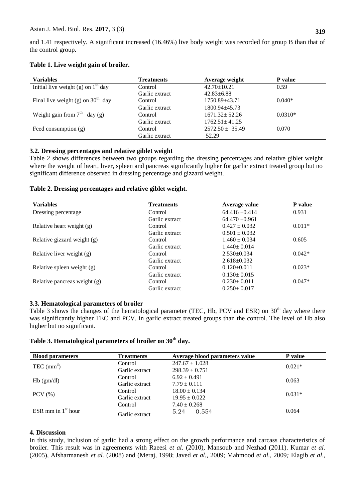and 1.41 respectively. A significant increased (16.46%) live body weight was recorded for group B than that of the control group.

| Table 1. Live weight gain of broiler. |
|---------------------------------------|
|---------------------------------------|

| <b>Variables</b>                     | <b>Treatments</b> | Average weight      | P value   |
|--------------------------------------|-------------------|---------------------|-----------|
| Initial live weight (g) on $1th$ day | Control           | $42.70 \pm 10.21$   | 0.59      |
|                                      | Garlic extract    | $42.83 \pm 6.88$    |           |
| Final live weight (g) on $30th$ day  | Control           | 1750.89+43.71       | $0.040*$  |
|                                      | Garlic extract    | 1800.94+45.73       |           |
| Weight gain from $7th$ day (g)       | Control           | $1671.32 + 52.26$   | $0.0310*$ |
|                                      | Garlic extract    | $1762.51 \pm 41.25$ |           |
| Feed consumption $(g)$               | Control           | $2572.50 \pm 35.49$ | 0.070     |
|                                      | Garlic extract    | 52.29               |           |

## **3.2. Dressing percentages and relative giblet weight**

Table 2 shows differences between two groups regarding the dressing percentages and relative giblet weight where the weight of heart, liver, spleen and pancreas significantly higher for garlic extract treated group but no significant difference observed in dressing percentage and gizzard weight.

## **Table 2. Dressing percentages and relative giblet weight.**

| <b>Variables</b>             | <b>Treatments</b> | Average value     | <b>P</b> value |
|------------------------------|-------------------|-------------------|----------------|
| Dressing percentage          | Control           | $64.416 + 0.414$  | 0.931          |
|                              | Garlic extract    | $64.470 + 0.961$  |                |
| Relative heart weight (g)    | Control           | $0.427 \pm 0.032$ | $0.011*$       |
|                              | Garlic extract    | $0.501 + 0.032$   |                |
| Relative gizzard weight (g)  | Control           | $1.460 \pm 0.034$ | 0.605          |
|                              | Garlic extract    | $1.440 \pm 0.014$ |                |
| Relative liver weight (g)    | Control           | $2.530+0.034$     | $0.042*$       |
|                              | Garlic extract    | $2.618 \pm 0.032$ |                |
| Relative spleen weight (g)   | Control           | $0.120 \pm 0.011$ | $0.023*$       |
|                              | Garlic extract    | $0.130 \pm 0.015$ |                |
| Relative pancreas weight (g) | Control           | $0.230 \pm 0.011$ | $0.047*$       |
|                              | Garlic extract    | $0.250 \pm 0.017$ |                |

## **3.3. Hematological parameters of broiler**

Table 3 shows the changes of the hematological parameter (TEC, Hb, PCV and ESR) on 30<sup>th</sup> day where there was significantly higher TEC and PCV, in garlic extract treated groups than the control. The level of Hb also higher but no significant.

# **Table 3. Hematological parameters of broiler on 30th day.**

| <b>Blood parameters</b> | <b>Treatments</b> | Average blood parameters value | P value  |  |
|-------------------------|-------------------|--------------------------------|----------|--|
| TEC $(nm3)$             | Control           | $247.67 \pm 1.028$             | $0.021*$ |  |
|                         | Garlic extract    | $298.39 \pm 0.751$             |          |  |
| $Hb$ (gm/dl)            | Control           | $6.92 \pm 0.491$               |          |  |
|                         | Garlic extract    | $7.79 \pm 0.111$               | 0.063    |  |
| $PCV$ $(\% )$           | Control           | $18.00 \pm 0.134$              | $0.031*$ |  |
|                         | Garlic extract    | $19.95 \pm 0.022$              |          |  |
| ESR mm in $1st$ hour    | Control           | $7.40 \pm 0.268$               |          |  |
|                         | Garlic extract    | 0.554<br>5.24                  | 0.064    |  |

#### **4. Discussion**

In this study, inclusion of garlic had a strong effect on the growth performance and carcass characteristics of broiler. This result was in agreements with Raeesi *et al.* (2010), Mansoub and Nezhad (2011). Kumar *et al.* (2005), Afsharmanesh *et al.* (2008) and (Meraj, 1998; Javed *et al.,* 2009; Mahmood *et al.,* 2009*;* Elagib *et al*.,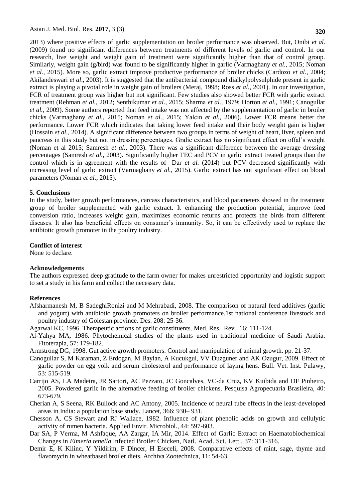2013) where positive effects of garlic supplementation on broiler performance was observed. But, Onibi *et al.* (2009) found no significant differences between treatments of different levels of garlic and control. In our research, live weight and weight gain of treatment were significantly higher than that of control group. Similarly, weight gain (g/bird) was found to be significantly higher in garlic (Varmaghany *et al.,* 2015; Noman *et al.,* 2015). More so, garlic extract improve productive performance of broiler chicks (Cardozo *et al*., 2004; Akilandeswari *et al*., 2003). It is suggested that the antibacterial compound dialkylpolysulphide present in garlic extract is playing a pivotal role in weight gain of broilers (Meraj, 1998; Ross *et al.,* 2001). In our investigation, FCR of treatment group was higher but not significant. Few studies also showed better FCR with garlic extract treatment (Rehman *et al.*, 2012; Senthikumar *et al*., 2015; Sharma *et al.,* 1979; Horton *et al.,* 1991; Canogullar *et al.,* 2009). Some authors reported that feed intake was not affected by the supplementation of garlic in broiler chicks (Varmaghany *et al.,* 2015; Noman *et al.,* 2015; Yalcın *et al.,* 2006). Lower FCR means better the performance. Lower FCR which indicates that taking lower feed intake and their body weight gain is higher (Hossain *et al.,* 2014). A significant difference between two groups in terms of weight of heart, liver, spleen and pancreas in this study but not in dressing percentages. Gralic extract has no significant effect on offal"s weight (Noman et al 2015; Samresh *et al.,* 2003). There was a significant difference between the average dressing percentages (Samresh *et al.,* 2003). Significantly higher TEC and PCV in garlic extract treated groups than the control which is in agreement with the results of Dar *et al.* (2014) but PCV decreased significantly with increasing level of garlic extract (Varmaghany *et al.,* 2015). Garlic extract has not significant effect on blood parameters (Noman *et al.,* 2015).

#### **5. Conclusions**

In the study, better growth performances, carcass characteristics, and blood parameters showed in the treatment group of broiler supplemented with garlic extract. It enhancing the production potential, improve feed conversion ratio, increases weight gain, maximizes economic returns and protects the birds from different diseases. It also has beneficial effects on consumer's immunity. So, it can be effectively used to replace the antibiotic growth promoter in the poultry industry.

#### **Conflict of interest**

None to declare.

#### **Acknowledgements**

The authors expressed deep gratitude to the farm owner for makes unrestricted opportunity and logistic support to set a study in his farm and collect the necessary data.

## **References**

- Afsharmanesh M, B SadeghiRonizi and M Mehrabadi, 2008. The comparison of natural feed additives (garlic and yogurt) with antibiotic growth promoters on broiler performance.1st national conference livestock and poultry industry of Golestan province. Des. 208: 25-36.
- Agarwal KC, 1996. Therapeutic actions of garlic constituents. Med. Res. Rev., 16: 111-124.
- Al-Yahya MA, 1986. Phytochemical studies of the plants used in traditional medicine of Saudi Arabia. Fitoterapia*,* 57: 179-182.

Armstrong DG, 1998. Gut active growth promoters. Control and manipulation of animal growth. pp. 21-37.

- Canogullar S, M Karaman, Z Erdogan, M Baylan, A Kucukgul, VV Duzguner and AK Ozugur, 2009. Effect of garlic powder on egg yolk and serum cholesterol and performance of laying hens. Bull. Vet. Inst. Pulawy, 53: 515-519.
- Carrijo AS, LA Madeira, JR Sartori, AC Pezzato, JC Goncalves, VC-da Cruz, KV Kuibida and DF Pinheiro, 2005. Powdered garlic in the alternative feeding of broiler chickens. Pesquisa Agropecuaria Brasileira, 40: 673-679.
- Cherian A, S Seena, RK Bullock and AC Antony, 2005. Incidence of neural tube effects in the least-developed areas in India: a population base study. Lancet, 366: 930– 931.
- Chesson A, CS Stewart and RJ Wallace, 1982. Influence of plant phenolic acids on growth and cellulytic activity of rumen bacteria. Applied Envir. Microbiol., 44: 597-603.
- Dar SA, P Verma, M Ashfaque, AA Zargar, IA Mir, 2014. Effect of Garlic Extract on Haematobiochemical Changes in *Eimeria tenella* Infected Broiler Chicken, Natl. Acad. Sci. Lett., 37: 311-316.
- Demir E, K Kilinc, Y Yildirim, F Dincer, H Eseceli, 2008. Comparative effects of mint, sage, thyme and flavomycin in wheatbased broiler diets. Archiva Zootechnica, 11: 54-63.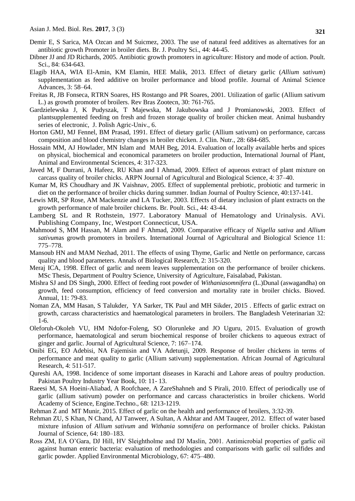- Demir E, S Sarica, MA Ozcan and M Suicmez, 2003. The use of natural feed additives as alternatives for an antibiotic growth Promoter in broiler diets. Br. J. Poultry Sci., 44: 44-45.
- Dibner JJ and JD Richards, 2005. Antibiotic growth promoters in agriculture: History and mode of action. Poult. Sci., 84: 634-643.
- Elagib HAA, WIA El-Amin, KM Elamin, HEE Malik, 2013. Effect of dietary garlic (*Allium sativum*) supplementation as feed additive on broiler performance and blood profile. Journal of Animal Science Advances, 3: 58–64.
- Freitas R, JB Fonseca, RTRN Soares, HS Rostango and PR Soares, 2001. Utilization of garlic (Allium sativum L.) as growth promoter of broilers. Rev Bras Zootecn, 30: 761-765.
- Gardzielewska J, K Pudyszak, T Majewska, M Jakubowska and J Promianowski, 2003. Effect of plantsupplemented feeding on fresh and frozen storage quality of broiler chicken meat. Animal husbandry series of electronic, J. Polish Agric-Univ., 6.
- Horton GMJ, MJ Fennel, BM Prasad, 1991. Effect of dietary garlic (Allium sativum) on performance, carcass composition and blood chemistry changes in broiler chicken. J. Clin. Nutr., 28: 684-685.
- Hossain MM, AJ Howlader, MN Islam and MAH Beg, 2014. Evaluation of locally available herbs and spices on physical, biochemical and economical parameters on broiler production, International Journal of Plant, Animal and Environmental Sciences, 4: 317-323.
- Javed M, F Durrani, A Hafeez, RU Khan and I Ahmad, 2009. Effect of aqueous extract of plant mixture on carcass quality of broiler chicks. ARPN Journal of Agricultural and Biological Science*,* 4: 37–40.
- Kumar M, RS Choudhary and JK Vaishnav, 2005. Effect of supplemental prebiotic, probiotic and turmeric in diet on the performance of broiler chicks during summer. Indian Journal of Poultry Science, 40:137-141.
- Lewis MR, SP Rose, AM Mackenzie and LA Tucker, 2003. Effects of dietary inclusion of plant extracts on the growth performance of male broiler chickens. Br. Poult. Sci., 44: 43-44.
- Lamberg SL and R Rothstein, 1977. Laboratory Manual of Hematology and Urinalysis. AVi. Publishing Company, Inc, Westport Connecticut, USA.
- Mahmood S, MM Hassan, M Alam and F Ahmad, 2009. Comparative efficacy of *Nigella sativa* and *Allium sativum*as growth promoters in broilers. International Journal of Agricultural and Biological Science 11: 775–778.
- Mansoub HN and MAM Nezhad, 2011. The effects of using Thyme, Garlic and Nettle on performance, carcass quality and blood parameters. Annals of Biological Research, 2: 315-320.
- Meraj ICA, 1998. Effect of garlic and neem leaves supplementation on the performance of broiler chickens. MSc Thesis, Department of Poultry Science, University of Agriculture, Faisalabad, Pakistan.
- Mishra SJ and DS Singh, 2000. Effect of feeding root powder of *Withaniasomnifera* (L.)Dunal (aswagandha) on growth, feed consumption, efficiency of feed conversion and mortality rate in broiler chicks. Bioved. Annual, 11: 79-83.
- Noman ZA, MM Hasan, S Talukder, YA Sarker, TK Paul and MH Sikder, 2015 . Effects of garlic extract on growth, carcass characteristics and haematological parameters in broilers. The Bangladesh Veterinarian 32: 1-6.
- Oleforuh-Okoleh VU, HM Ndofor-Foleng, SO Olorunleke and JO Uguru, 2015. Evaluation of growth performance, haematological and serum biochemical response of broiler chickens to aqueous extract of ginger and garlic. Journal of Agricultural Science, 7: 167–174.
- Onibi EG, EO Adebisi, NA Fajemisin and VA Adetunji, 2009. Response of broiler chickens in terms of performance and meat quality to garlic (Allium sativum) supplementation. African Journal of Agricultural Research, 4: 511-517.
- Qureshi AA, 1998. Incidence of some important diseases in Karachi and Lahore areas of poultry production. Pakistan Poultry Industry Year Book, 10: 11- 13.
- Raeesi M, SA Hoeini-Aliabad, A Roofchaee, A ZareShahneh and S Pirali, 2010. Effect of periodically use of garlic (allium sativum) powder on performance and carcass characteristics in broiler chickens. World Academy of Science, Engine.Techno., 68: 1213-1219.
- Rehman Z and MT Munir, 2015. Effect of garlic on the health and performance of broilers, 3:32-39.
- Rehman ZU, S Khan, N Chand, AJ Tanweer, A Sultan, A Akhtar and AM Tauqeer, 2012. Effect of water based mixture infusion of *Allium sativum* and *Withania somnifera* on performance of broiler chicks. Pakistan Journal of Science, 64: 180–183.
- Ross ZM, EA O"Gara, DJ Hill, HV Sleightholme and DJ Maslin, 2001. Antimicrobial properties of garlic oil against human enteric bacteria: evaluation of methodologies and comparisons with garlic oil sulfides and garlic powder. Applied Environmental Microbiology, 67: 475–480.